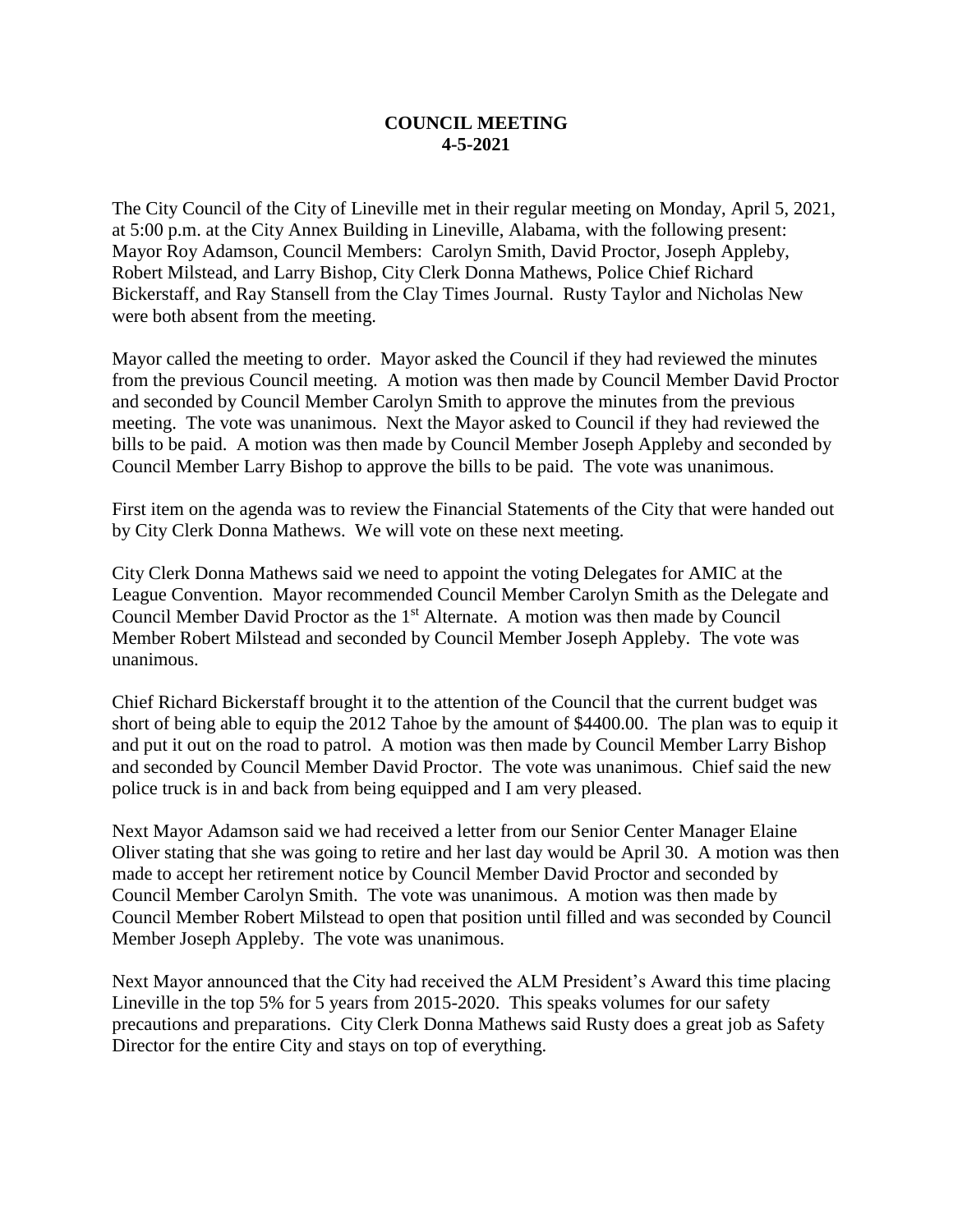## **COUNCIL MEETING 4-5-2021**

The City Council of the City of Lineville met in their regular meeting on Monday, April 5, 2021, at 5:00 p.m. at the City Annex Building in Lineville, Alabama, with the following present: Mayor Roy Adamson, Council Members: Carolyn Smith, David Proctor, Joseph Appleby, Robert Milstead, and Larry Bishop, City Clerk Donna Mathews, Police Chief Richard Bickerstaff, and Ray Stansell from the Clay Times Journal. Rusty Taylor and Nicholas New were both absent from the meeting.

Mayor called the meeting to order. Mayor asked the Council if they had reviewed the minutes from the previous Council meeting. A motion was then made by Council Member David Proctor and seconded by Council Member Carolyn Smith to approve the minutes from the previous meeting. The vote was unanimous. Next the Mayor asked to Council if they had reviewed the bills to be paid. A motion was then made by Council Member Joseph Appleby and seconded by Council Member Larry Bishop to approve the bills to be paid. The vote was unanimous.

First item on the agenda was to review the Financial Statements of the City that were handed out by City Clerk Donna Mathews. We will vote on these next meeting.

City Clerk Donna Mathews said we need to appoint the voting Delegates for AMIC at the League Convention. Mayor recommended Council Member Carolyn Smith as the Delegate and Council Member David Proctor as the 1<sup>st</sup> Alternate. A motion was then made by Council Member Robert Milstead and seconded by Council Member Joseph Appleby. The vote was unanimous.

Chief Richard Bickerstaff brought it to the attention of the Council that the current budget was short of being able to equip the 2012 Tahoe by the amount of \$4400.00. The plan was to equip it and put it out on the road to patrol. A motion was then made by Council Member Larry Bishop and seconded by Council Member David Proctor. The vote was unanimous. Chief said the new police truck is in and back from being equipped and I am very pleased.

Next Mayor Adamson said we had received a letter from our Senior Center Manager Elaine Oliver stating that she was going to retire and her last day would be April 30. A motion was then made to accept her retirement notice by Council Member David Proctor and seconded by Council Member Carolyn Smith. The vote was unanimous. A motion was then made by Council Member Robert Milstead to open that position until filled and was seconded by Council Member Joseph Appleby. The vote was unanimous.

Next Mayor announced that the City had received the ALM President's Award this time placing Lineville in the top 5% for 5 years from 2015-2020. This speaks volumes for our safety precautions and preparations. City Clerk Donna Mathews said Rusty does a great job as Safety Director for the entire City and stays on top of everything.